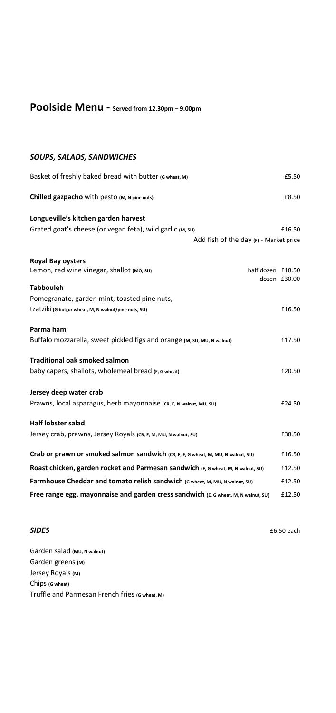# **Poolside Menu - Served from 12.30pm – 9.00pm**

## *SOUPS, SALADS, SANDWICHES*

| Basket of freshly baked bread with butter (G wheat, M)                             | £5.50             |
|------------------------------------------------------------------------------------|-------------------|
| Chilled gazpacho with pesto (M, N pine nuts)                                       | £8.50             |
| Longueville's kitchen garden harvest                                               |                   |
| Grated goat's cheese (or vegan feta), wild garlic (M, SU)                          | £16.50            |
| Add fish of the day $(F)$ - Market price                                           |                   |
| <b>Royal Bay oysters</b>                                                           |                   |
| Lemon, red wine vinegar, shallot (MO, SU)                                          | half dozen £18.50 |
| <b>Tabbouleh</b>                                                                   | dozen £30.00      |
| Pomegranate, garden mint, toasted pine nuts,                                       |                   |
| tzatziki (G bulgur wheat, M, N walnut/pine nuts, SU)                               | £16.50            |
| Parma ham                                                                          |                   |
| Buffalo mozzarella, sweet pickled figs and orange (M, SU, MU, N walnut)            | £17.50            |
| <b>Traditional oak smoked salmon</b>                                               |                   |
| baby capers, shallots, wholemeal bread (F, G wheat)                                | £20.50            |
| Jersey deep water crab                                                             |                   |
| Prawns, local asparagus, herb mayonnaise (CR, E, N walnut, MU, SU)                 | £24.50            |
| <b>Half lobster salad</b>                                                          |                   |
| Jersey crab, prawns, Jersey Royals (CR, E, M, MU, N walnut, SU)                    | £38.50            |
| Crab or prawn or smoked salmon sandwich (CR, E, F, G wheat, M, MU, N walnut, SU)   | £16.50            |
| Roast chicken, garden rocket and Parmesan sandwich (E, G wheat, M, N walnut, SU)   | £12.50            |
| Farmhouse Cheddar and tomato relish sandwich (G wheat, M, MU, N walnut, SU)        | £12.50            |
| Free range egg, mayonnaise and garden cress sandwich (E, G wheat, M, N walnut, SU) | £12.50            |

**SIDES**  $\qquad 6.50$  each

Garden salad **(MU, N walnut)** Garden greens **(M)** Jersey Royals **(M)** Chips **(G wheat)** Truffle and Parmesan French fries **(G wheat, M)**